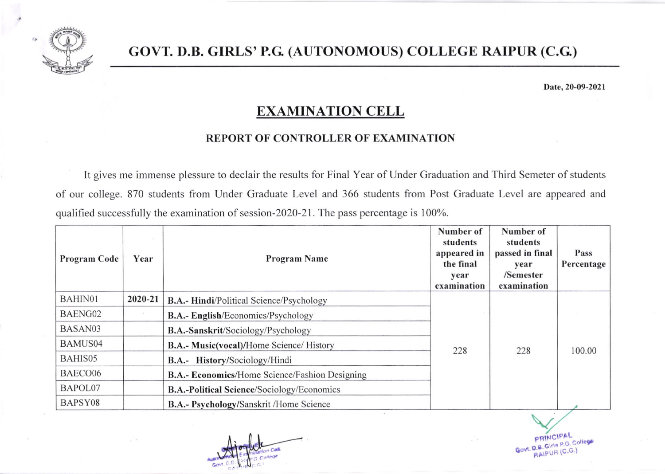

## GOVT. D.B. GrRLS'p.G. (AUTONOMOUS) COLLEGE RATPUR (C.G)

Date, 20-09-2021

## EXAMINATION CELL

## REPORT OF CONTROLLER OF EXAMINATION

It gives me immense plessure to declair the results for Final Year of Under Graduation and Third Semeter of students of our college. 870 students from Under Graduate Level and 366 students from Post Graduate Level are appeared and qualified successfully the examination of session-2020-21. The pass percentage is 100%.

| <b>Program Code</b> | Year    | <b>Program Name</b>                                   | Number of<br>students<br>appeared in<br>the final<br>year<br>examination | Number of<br>students<br>passed in final<br>year<br>/Semester<br>examination | Pass<br>Percentage |
|---------------------|---------|-------------------------------------------------------|--------------------------------------------------------------------------|------------------------------------------------------------------------------|--------------------|
| BAHIN01             | 2020-21 | <b>B.A.- Hindi/Political Science/Psychology</b>       |                                                                          |                                                                              |                    |
| BAENG02             |         | <b>B.A.- English/Economics/Psychology</b>             |                                                                          |                                                                              |                    |
| BASAN03             |         | B.A.-Sanskrit/Sociology/Psychology                    |                                                                          |                                                                              |                    |
| <b>BAMUS04</b>      |         | <b>B.A.- Music(vocal)/Home Science/ History</b>       | 228                                                                      | 228                                                                          | 100.00             |
| BAHIS05             |         | B.A.- History/Sociology/Hindi                         |                                                                          |                                                                              |                    |
| BAECO06             |         | <b>B.A.- Economics/Home Science/Fashion Designing</b> |                                                                          |                                                                              |                    |
| BAPOL07             |         | <b>B.A.-Political Science/Sociology/Economics</b>     |                                                                          |                                                                              |                    |
| BAPSY08             |         | B.A.- Psychology/Sanskrit /Home Science               |                                                                          |                                                                              |                    |

I

PBINCI Govt. D.B. Girls PAL P.G. College  $(\mathsf{C},\mathsf{G}_2)$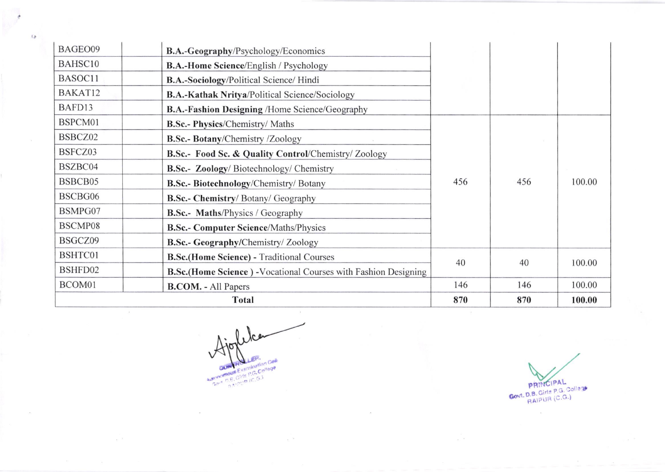| BAGEO09                                                  | B.A.-Geography/Psychology/Economics                                                     |     |     |        |
|----------------------------------------------------------|-----------------------------------------------------------------------------------------|-----|-----|--------|
| BAHSC10<br><b>B.A.-Home Science/English / Psychology</b> |                                                                                         |     |     |        |
| BASOC11<br>B.A.-Sociology/Political Science/ Hindi       |                                                                                         |     |     |        |
| BAKAT12                                                  | <b>B.A.-Kathak Nritya/Political Science/Sociology</b>                                   |     |     |        |
| BAFD13                                                   | <b>B.A.-Fashion Designing /Home Science/Geography</b>                                   |     |     |        |
| BSPCM01                                                  | <b>B.Sc.- Physics/Chemistry/ Maths</b>                                                  |     |     |        |
| BSBCZ02                                                  | B.Sc.- Botany/Chemistry /Zoology                                                        |     |     |        |
| BSFCZ03                                                  | B.Sc.- Food Sc. & Quality Control/Chemistry/ Zoology                                    |     |     |        |
| BSZBC04                                                  | B.Sc.- Zoology/Biotechnology/Chemistry<br>456<br>B.Sc.- Biotechnology/Chemistry/ Botany |     | 456 | 100.00 |
| BSBCB05                                                  |                                                                                         |     |     |        |
| BSCBG06                                                  | B.Sc.- Chemistry/ Botany/ Geography                                                     |     |     |        |
| BSMPG07                                                  | <b>B.Sc.-</b> Maths/Physics / Geography                                                 |     |     |        |
| BSCMP08                                                  | <b>B.Sc.- Computer Science/Maths/Physics</b>                                            |     |     |        |
| BSGCZ09                                                  | <b>B.Sc.- Geography/Chemistry/Zoology</b>                                               |     |     |        |
| BSHTC01                                                  | <b>B.Sc.(Home Science) - Traditional Courses</b>                                        | 40  | 40  | 100.00 |
| BSHFD02                                                  | <b>B.Sc.(Home Science)</b> - Vocational Courses with Fashion Designing                  |     |     |        |
| BCOM01                                                   | <b>B.COM.</b> - All Papers                                                              | 146 | 146 | 100.00 |
| Total                                                    |                                                                                         |     | 870 | 100.00 |

, lca GENERAL LEFT.<br>Automotive Examination Case

 $_{\odot}$   $^{-1}$ 

 $\epsilon$ 

 $E_{\rm P}$ 

PRINCIPAL<br>Govt. D.B. Girls P.G. College

 $\sim$ 

 $\frac{w}{\omega}$  w